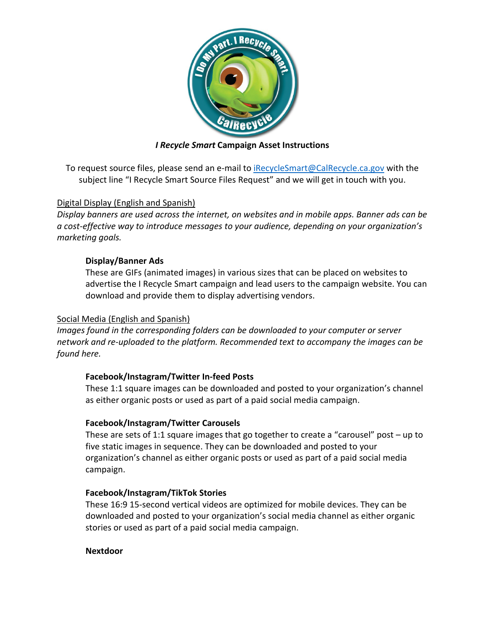

#### *I Recycle Smart* **Campaign Asset Instructions**

To request source files, please send an e-mail to [iRecycleSmart@CalRecycle.ca.gov](mailto:iRecycleSmart@CalRecycle.ca.gov) with the subject line "I Recycle Smart Source Files Request" and we will get in touch with you.

# Digital Display (English and Spanish)

*Display banners are used across the internet, on websites and in mobile apps. Banner ads can be a cost-effective way to introduce messages to your audience, depending on your organization's marketing goals.*

# **Display/Banner Ads**

These are GIFs (animated images) in various sizes that can be placed on websites to advertise the I Recycle Smart campaign and lead users to the campaign website. You can download and provide them to display advertising vendors.

# Social Media (English and Spanish)

*Images found in the corresponding folders can be downloaded to your computer or server network and re-uploaded to the platform. Recommended text to accompany the images can be found here.*

# **Facebook/Instagram/Twitter In-feed Posts**

These 1:1 square images can be downloaded and posted to your organization's channel as either organic posts or used as part of a paid social media campaign.

# **Facebook/Instagram/Twitter Carousels**

These are sets of 1:1 square images that go together to create a "carousel" post – up to five static images in sequence. They can be downloaded and posted to your organization's channel as either organic posts or used as part of a paid social media campaign.

# **Facebook/Instagram/TikTok Stories**

These 16:9 15-second vertical videos are optimized for mobile devices. They can be downloaded and posted to your organization's social media channel as either organic stories or used as part of a paid social media campaign.

# **Nextdoor**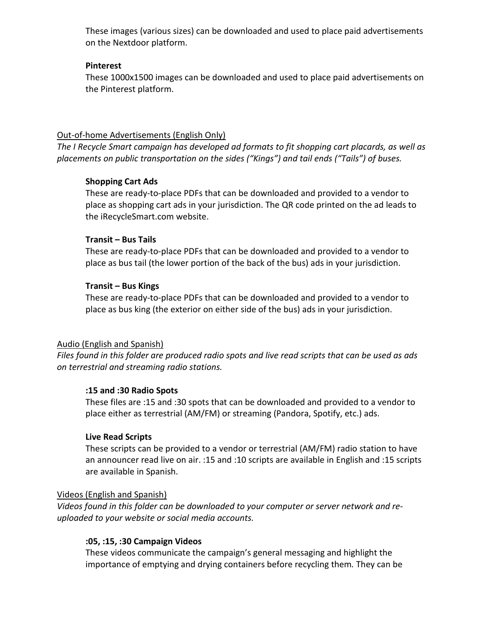These images (various sizes) can be downloaded and used to place paid advertisements on the Nextdoor platform.

#### **Pinterest**

These 1000x1500 images can be downloaded and used to place paid advertisements on the Pinterest platform.

### Out-of-home Advertisements (English Only)

*The I Recycle Smart campaign has developed ad formats to fit shopping cart placards, as well as placements on public transportation on the sides ("Kings") and tail ends ("Tails") of buses.* 

# **Shopping Cart Ads**

These are ready-to-place PDFs that can be downloaded and provided to a vendor to place as shopping cart ads in your jurisdiction. The QR code printed on the ad leads to the iRecycleSmart.com website.

#### **Transit – Bus Tails**

These are ready-to-place PDFs that can be downloaded and provided to a vendor to place as bus tail (the lower portion of the back of the bus) ads in your jurisdiction.

#### **Transit – Bus Kings**

These are ready-to-place PDFs that can be downloaded and provided to a vendor to place as bus king (the exterior on either side of the bus) ads in your jurisdiction.

# Audio (English and Spanish)

*Files found in this folder are produced radio spots and live read scripts that can be used as ads on terrestrial and streaming radio stations.*

#### **:15 and :30 Radio Spots**

These files are :15 and :30 spots that can be downloaded and provided to a vendor to place either as terrestrial (AM/FM) or streaming (Pandora, Spotify, etc.) ads.

# **Live Read Scripts**

These scripts can be provided to a vendor or terrestrial (AM/FM) radio station to have an announcer read live on air. :15 and :10 scripts are available in English and :15 scripts are available in Spanish.

#### Videos (English and Spanish)

*Videos found in this folder can be downloaded to your computer or server network and reuploaded to your website or social media accounts.* 

# **:05, :15, :30 Campaign Videos**

These videos communicate the campaign's general messaging and highlight the importance of emptying and drying containers before recycling them*.* They can be